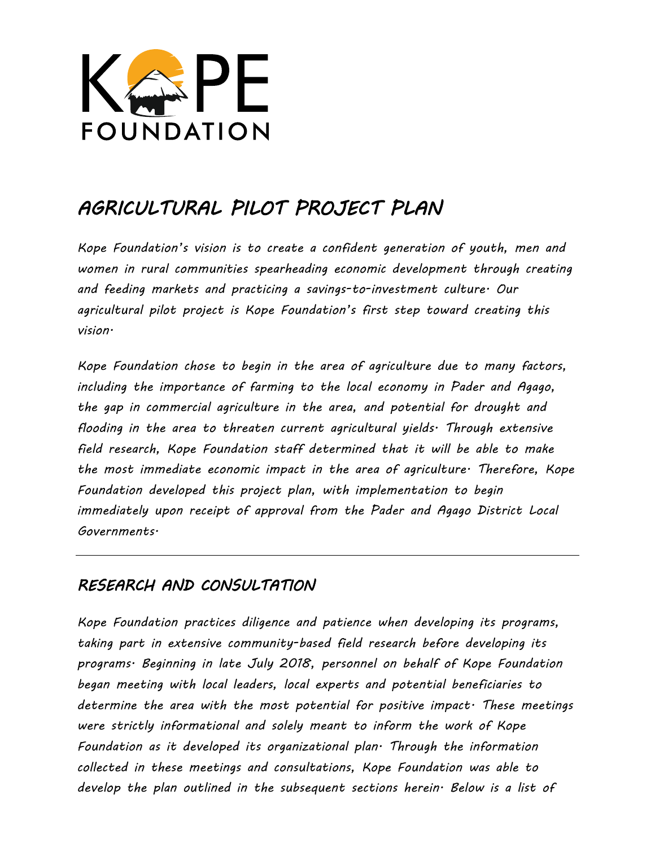

# *AGRICULTURAL PILOT PROJECT PLAN*

*Kope Foundation*'*s vision is to create a confident generation of youth, men and women in rural communities spearheading economic development through creating and feeding markets and practicing a savings-to-investment culture. Our agricultural pilot project is Kope Foundation*'*s first step toward creating this vision.* 

*Kope Foundation chose to begin in the area of agriculture due to many factors, including the importance of farming to the local economy in Pader and Agago, the gap in commercial agriculture in the area, and potential for drought and flooding in the area to threaten current agricultural yields. Through extensive field research, Kope Foundation staff determined that it will be able to make the most immediate economic impact in the area of agriculture. Therefore, Kope Foundation developed this project plan, with implementation to begin immediately upon receipt of approval from the Pader and Agago District Local Governments.*

# *RESEARCH AND CONSULTATION*

*Kope Foundation practices diligence and patience when developing its programs, taking part in extensive community-based field research before developing its programs. Beginning in late July 2018, personnel on behalf of Kope Foundation began meeting with local leaders, local experts and potential beneficiaries to determine the area with the most potential for positive impact. These meetings were strictly informational and solely meant to inform the work of Kope Foundation as it developed its organizational plan. Through the information collected in these meetings and consultations, Kope Foundation was able to develop the plan outlined in the subsequent sections herein. Below is a list of*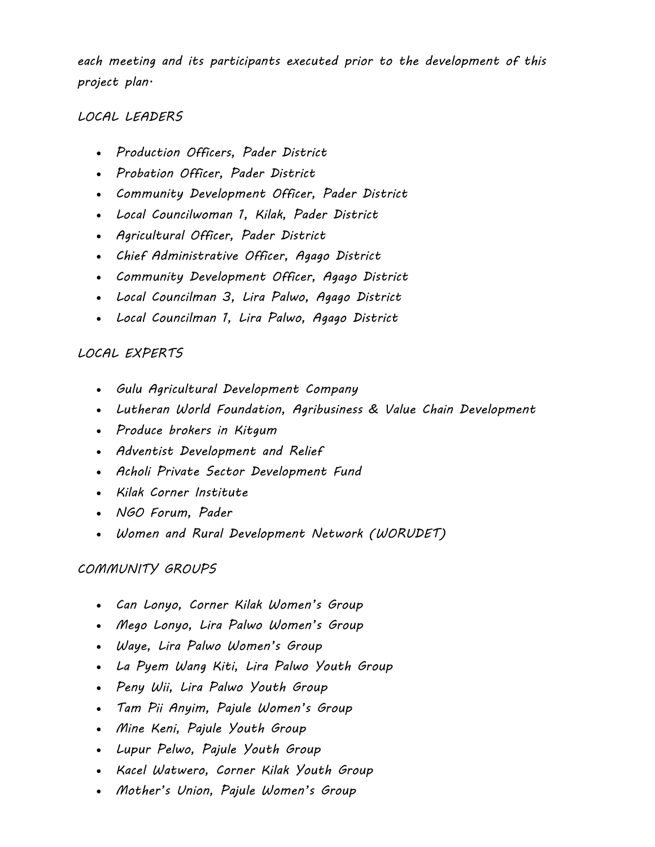*each meeting and its participants executed prior to the development of this project plan.*

## *LOCAL LEADERS*

- *Production Officers, Pader District*
- *Probation Officer, Pader District*
- *Community Development Officer, Pader District*
- *Local Councilwoman 1, Kilak, Pader District*
- *Agricultural Officer, Pader District*
- *Chief Administrative Officer, Agago District*
- *Community Development Officer, Agago District*
- *Local Councilman 3, Lira Palwo, Agago District*
- *Local Councilman 1, Lira Palwo, Agago District*

## *LOCAL EXPERTS*

- *Gulu Agricultural Development Company*
- *Lutheran World Foundation, Agribusiness & Value Chain Development*
- *Produce brokers in Kitgum*
- *Adventist Development and Relief*
- *Acholi Private Sector Development Fund*
- *Kilak Corner Institute*
- *NGO Forum, Pader*
- *Women and Rural Development Network (WORUDET)*

### *COMMUNITY GROUPS*

- *Can Lonyo, Corner Kilak Women*'*s Group*
- *Mego Lonyo, Lira Palwo Women*'*s Group*
- *Waye, Lira Palwo Women*'*s Group*
- *La Pyem Wang Kiti, Lira Palwo Youth Group*
- *Peny Wii, Lira Palwo Youth Group*
- *Tam Pii Anyim, Pajule Women*'*s Group*
- *Mine Keni, Pajule Youth Group*
- *Lupur Pelwo, Pajule Youth Group*
- *Kacel Watwero, Corner Kilak Youth Group*
- *Mother*'*s Union, Pajule Women*'*s Group*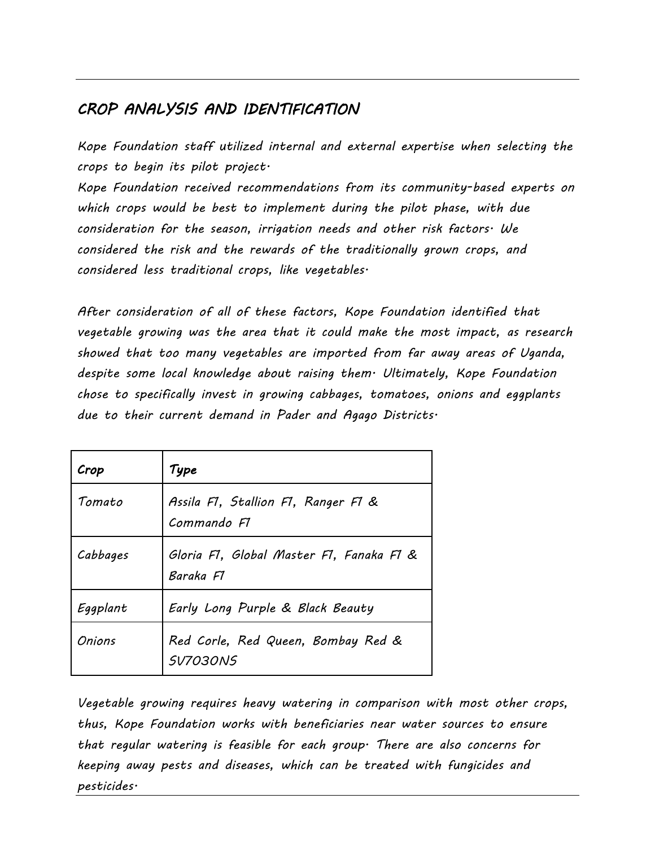# *CROP ANALYSIS AND IDENTIFICATION*

*Kope Foundation staff utilized internal and external expertise when selecting the crops to begin its pilot project.* 

*Kope Foundation received recommendations from its community-based experts on which crops would be best to implement during the pilot phase, with due consideration for the season, irrigation needs and other risk factors. We considered the risk and the rewards of the traditionally grown crops, and considered less traditional crops, like vegetables.* 

*After consideration of all of these factors, Kope Foundation identified that vegetable growing was the area that it could make the most impact, as research showed that too many vegetables are imported from far away areas of Uganda, despite some local knowledge about raising them. Ultimately, Kope Foundation chose to specifically invest in growing cabbages, tomatoes, onions and eggplants due to their current demand in Pader and Agago Districts.* 

| Crop          | Type                                                  |
|---------------|-------------------------------------------------------|
| Tomato        | Assila F1, Stallion F1, Ranger F1 &<br>Commando F1    |
| Cabbages      | Gloria F1, Global Master F1, Fanaka F1 &<br>Baraka F1 |
| Eggplant      | Early Long Purple & Black Beauty                      |
| <b>Onions</b> | Red Corle, Red Queen, Bombay Red &<br><b>SV7030NS</b> |

*Vegetable growing requires heavy watering in comparison with most other crops, thus, Kope Foundation works with beneficiaries near water sources to ensure that regular watering is feasible for each group. There are also concerns for keeping away pests and diseases, which can be treated with fungicides and pesticides.*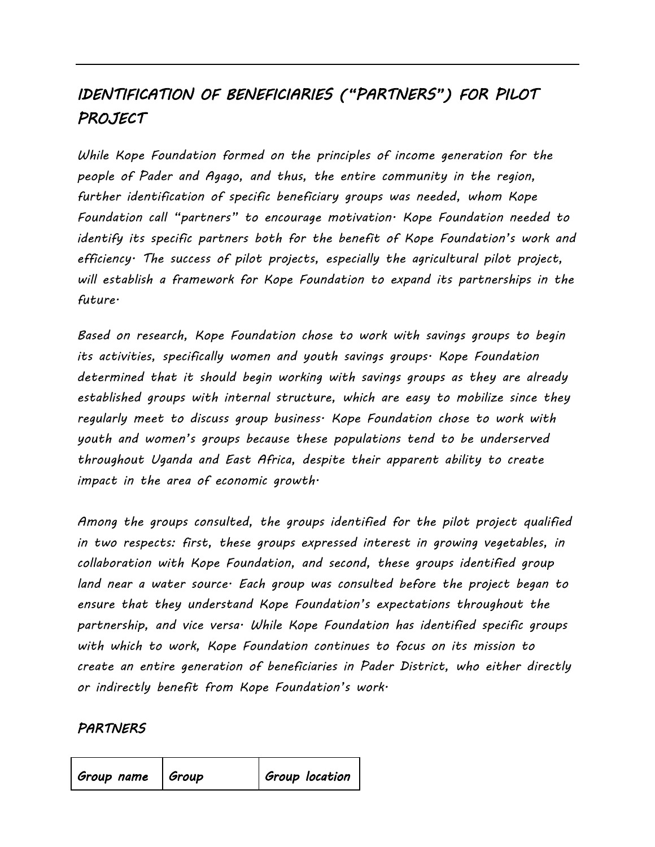# *IDENTIFICATION OF BENEFICIARIES (*"*PARTNERS*"*) FOR PILOT PROJECT*

*While Kope Foundation formed on the principles of income generation for the people of Pader and Agago, and thus, the entire community in the region, further identification of specific beneficiary groups was needed, whom Kope Foundation call* "*partners*" *to encourage motivation. Kope Foundation needed to identify its specific partners both for the benefit of Kope Foundation*'*s work and efficiency. The success of pilot projects, especially the agricultural pilot project, will establish a framework for Kope Foundation to expand its partnerships in the future.*

*Based on research, Kope Foundation chose to work with savings groups to begin its activities, specifically women and youth savings groups. Kope Foundation determined that it should begin working with savings groups as they are already established groups with internal structure, which are easy to mobilize since they regularly meet to discuss group business. Kope Foundation chose to work with youth and women*'*s groups because these populations tend to be underserved throughout Uganda and East Africa, despite their apparent ability to create impact in the area of economic growth.* 

*Among the groups consulted, the groups identified for the pilot project qualified in two respects: first, these groups expressed interest in growing vegetables, in collaboration with Kope Foundation, and second, these groups identified group land near a water source. Each group was consulted before the project began to ensure that they understand Kope Foundation*'*s expectations throughout the partnership, and vice versa. While Kope Foundation has identified specific groups with which to work, Kope Foundation continues to focus on its mission to create an entire generation of beneficiaries in Pader District, who either directly or indirectly benefit from Kope Foundation*'*s work.* 

## *PARTNERS*

| Group name   Group | Group location |
|--------------------|----------------|
|                    |                |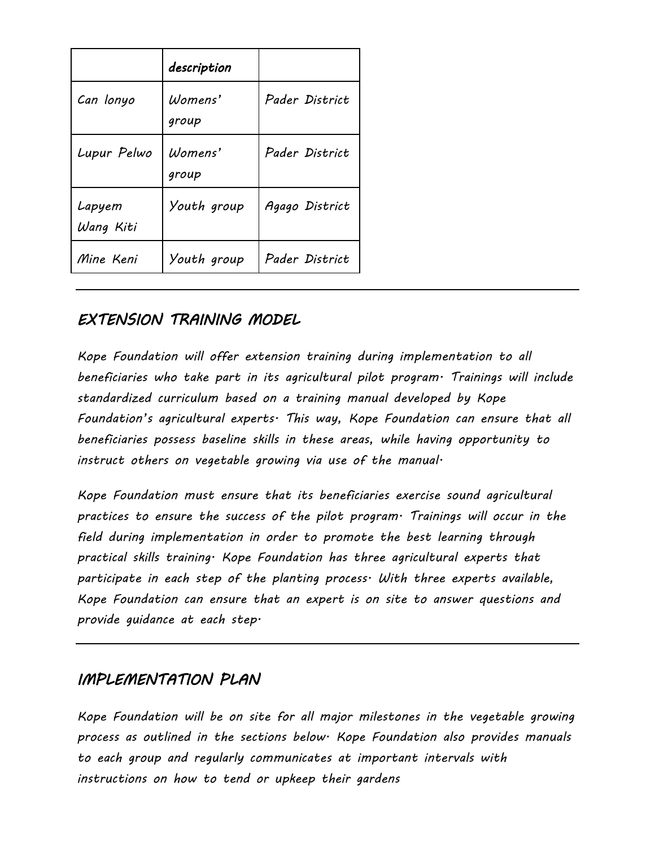|                     | description      |                |
|---------------------|------------------|----------------|
| Can lonyo           | Womens'<br>group | Pader District |
| Lupur Pelwo         | Womens'<br>group | Pader District |
| Lapyem<br>Wang Kiti | Youth group      | Agago District |
| Mine Keni           | Youth group      | Pader District |

# *EXTENSION TRAINING MODEL*

*Kope Foundation will offer extension training during implementation to all beneficiaries who take part in its agricultural pilot program. Trainings will include standardized curriculum based on a training manual developed by Kope Foundation*'*s agricultural experts. This way, Kope Foundation can ensure that all beneficiaries possess baseline skills in these areas, while having opportunity to instruct others on vegetable growing via use of the manual.*

*Kope Foundation must ensure that its beneficiaries exercise sound agricultural practices to ensure the success of the pilot program. Trainings will occur in the field during implementation in order to promote the best learning through practical skills training. Kope Foundation has three agricultural experts that participate in each step of the planting process. With three experts available, Kope Foundation can ensure that an expert is on site to answer questions and provide guidance at each step.*

# *IMPLEMENTATION PLAN*

*Kope Foundation will be on site for all major milestones in the vegetable growing process as outlined in the sections below. Kope Foundation also provides manuals to each group and regularly communicates at important intervals with instructions on how to tend or upkeep their gardens*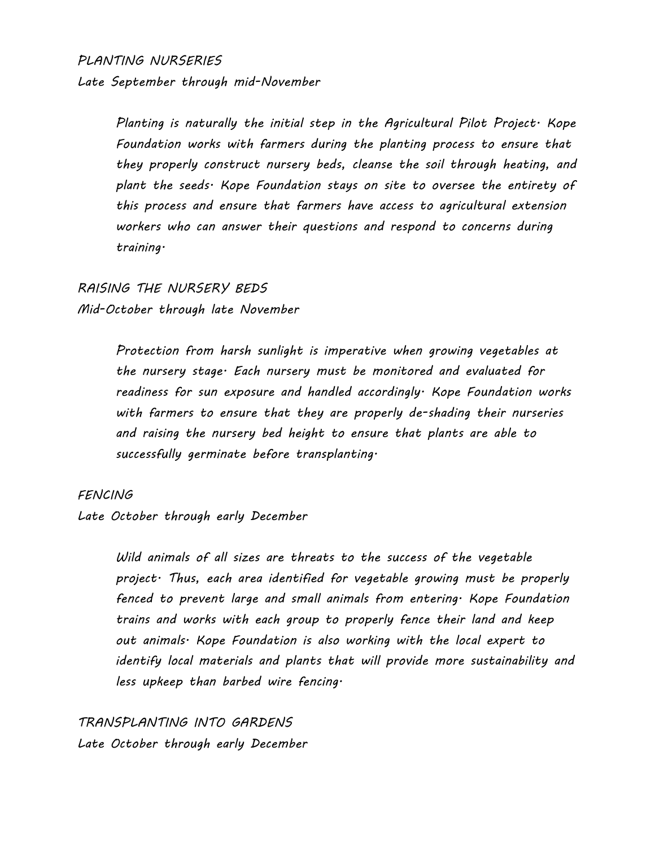### *PLANTING NURSERIES*

*Late September through mid-November* 

*Planting is naturally the initial step in the Agricultural Pilot Project. Kope Foundation works with farmers during the planting process to ensure that they properly construct nursery beds, cleanse the soil through heating, and plant the seeds. Kope Foundation stays on site to oversee the entirety of this process and ensure that farmers have access to agricultural extension workers who can answer their questions and respond to concerns during training.* 

## *RAISING THE NURSERY BEDS Mid-October through late November*

*Protection from harsh sunlight is imperative when growing vegetables at the nursery stage. Each nursery must be monitored and evaluated for readiness for sun exposure and handled accordingly. Kope Foundation works with farmers to ensure that they are properly de-shading their nurseries and raising the nursery bed height to ensure that plants are able to successfully germinate before transplanting.* 

#### *FENCING*

*Late October through early December* 

*Wild animals of all sizes are threats to the success of the vegetable project. Thus, each area identified for vegetable growing must be properly fenced to prevent large and small animals from entering. Kope Foundation trains and works with each group to properly fence their land and keep out animals. Kope Foundation is also working with the local expert to identify local materials and plants that will provide more sustainability and less upkeep than barbed wire fencing.* 

*TRANSPLANTING INTO GARDENS Late October through early December*